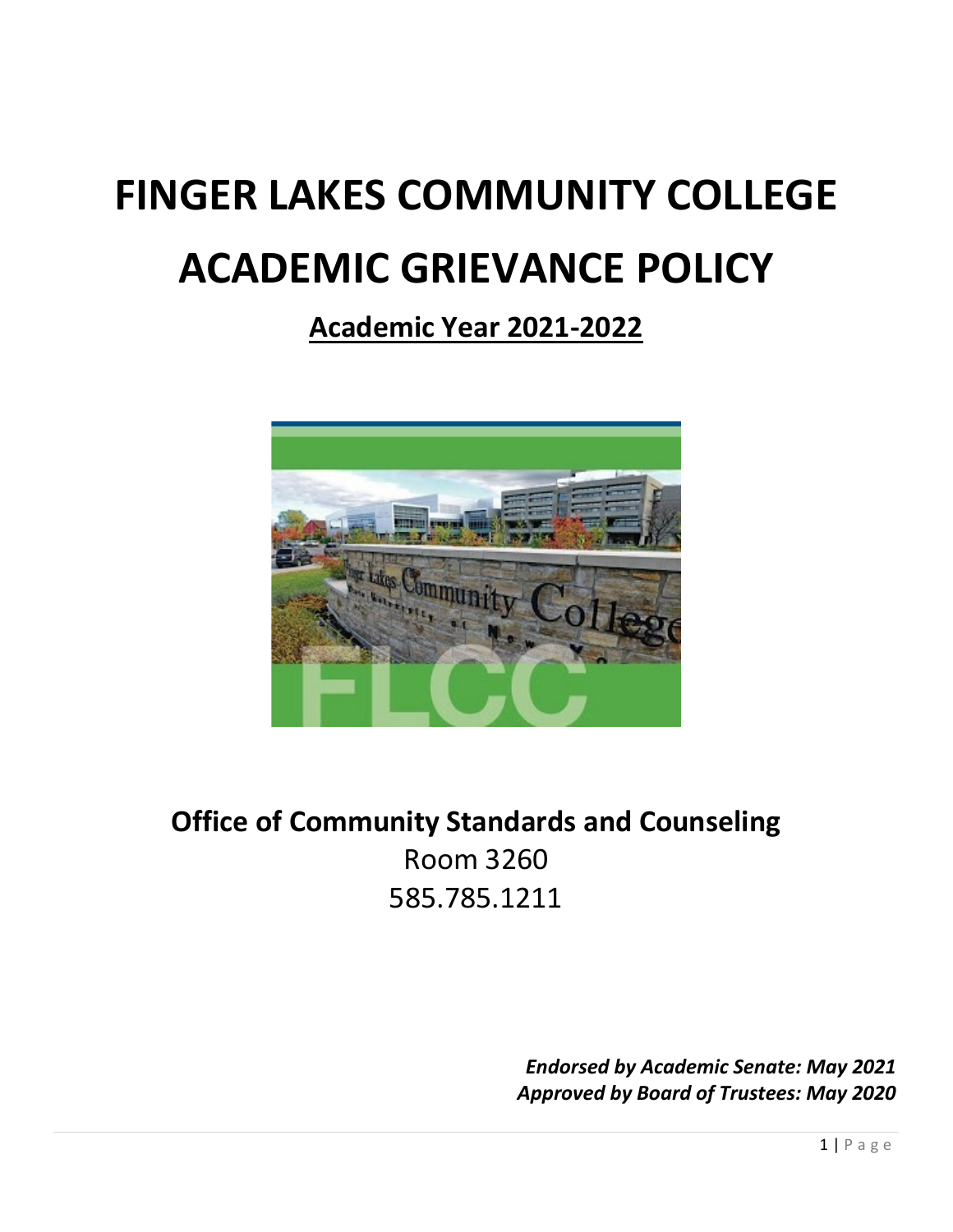# **FINGER LAKES COMMUNITY COLLEGE ACADEMIC GRIEVANCE POLICY**

# **Academic Year 2021-2022**



# **Office of Community Standards and Counseling** Room 3260 585.785.1211

*Endorsed by Academic Senate: May 2021 Approved by Board of Trustees: May 2020*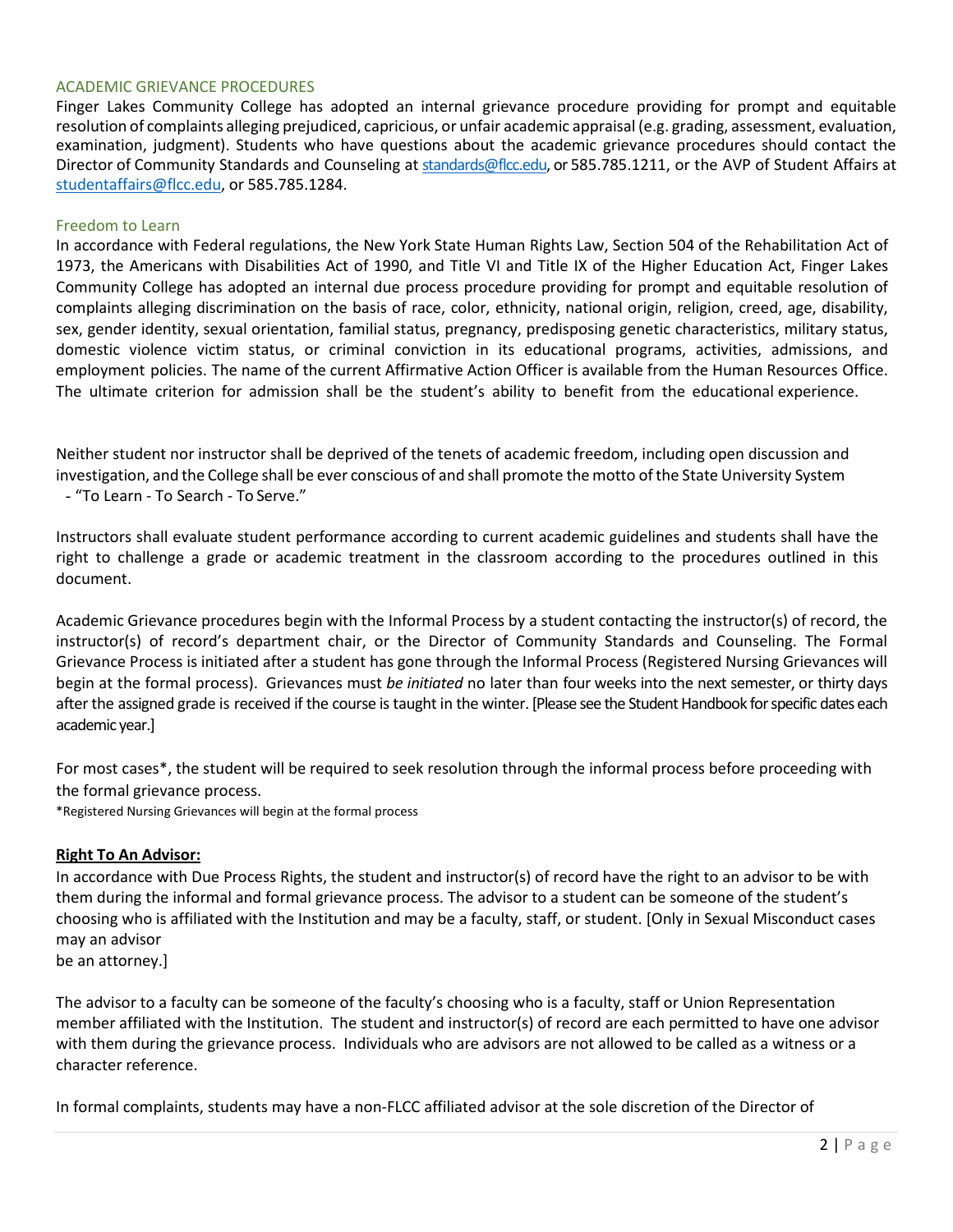#### ACADEMIC GRIEVANCE PROCEDURES

Finger Lakes Community College has adopted an internal grievance procedure providing for prompt and equitable resolution of complaints alleging prejudiced, capricious, or unfair academic appraisal (e.g. grading, assessment, evaluation, examination, judgment). Students who have questions about the academic grievance procedures should contact the Director of Community Standards and Counseling at [standards@flcc.edu,](mailto:standards@flcc.edu) or 585.785.1211, or the AVP of Student Affairs at [studentaffairs@flcc.edu,](mailto:studentaffairs@flcc.edu) or 585.785.1284.

#### Freedom to Learn

In accordance with Federal regulations, the New York State Human Rights Law, Section 504 of the Rehabilitation Act of 1973, the Americans with Disabilities Act of 1990, and Title VI and Title IX of the Higher Education Act, Finger Lakes Community College has adopted an internal due process procedure providing for prompt and equitable resolution of complaints alleging discrimination on the basis of race, color, ethnicity, national origin, religion, creed, age, disability, sex, gender identity, sexual orientation, familial status, pregnancy, predisposing genetic characteristics, military status, domestic violence victim status, or criminal conviction in its educational programs, activities, admissions, and employment policies. The name of the current Affirmative Action Officer is available from the Human Resources Office. The ultimate criterion for admission shall be the student's ability to benefit from the educational experience.

Neither student nor instructor shall be deprived of the tenets of academic freedom, including open discussion and investigation, and the College shall be ever conscious of and shall promote the motto ofthe State University System - "To Learn - To Search - To Serve."

Instructors shall evaluate student performance according to current academic guidelines and students shall have the right to challenge a grade or academic treatment in the classroom according to the procedures outlined in this document.

Academic Grievance procedures begin with the Informal Process by a student contacting the instructor(s) of record, the instructor(s) of record's department chair, or the Director of Community Standards and Counseling. The Formal Grievance Process is initiated after a student has gone through the Informal Process (Registered Nursing Grievances will begin at the formal process). Grievances must *be initiated* no later than four weeks into the next semester, or thirty days after the assigned grade is received if the course is taught in the winter. [Please see the Student Handbook for specific dates each academic year.]

For most cases\*, the student will be required to seek resolution through the informal process before proceeding with the formal grievance process.

\*Registered Nursing Grievances will begin at the formal process

#### **Right To An Advisor:**

In accordance with Due Process Rights, the student and instructor(s) of record have the right to an advisor to be with them during the informal and formal grievance process. The advisor to a student can be someone of the student's choosing who is affiliated with the Institution and may be a faculty, staff, or student. [Only in Sexual Misconduct cases may an advisor

be an attorney.]

The advisor to a faculty can be someone of the faculty's choosing who is a faculty, staff or Union Representation member affiliated with the Institution. The student and instructor(s) of record are each permitted to have one advisor with them during the grievance process. Individuals who are advisors are not allowed to be called as a witness or a character reference.

In formal complaints, students may have a non-FLCC affiliated advisor at the sole discretion of the Director of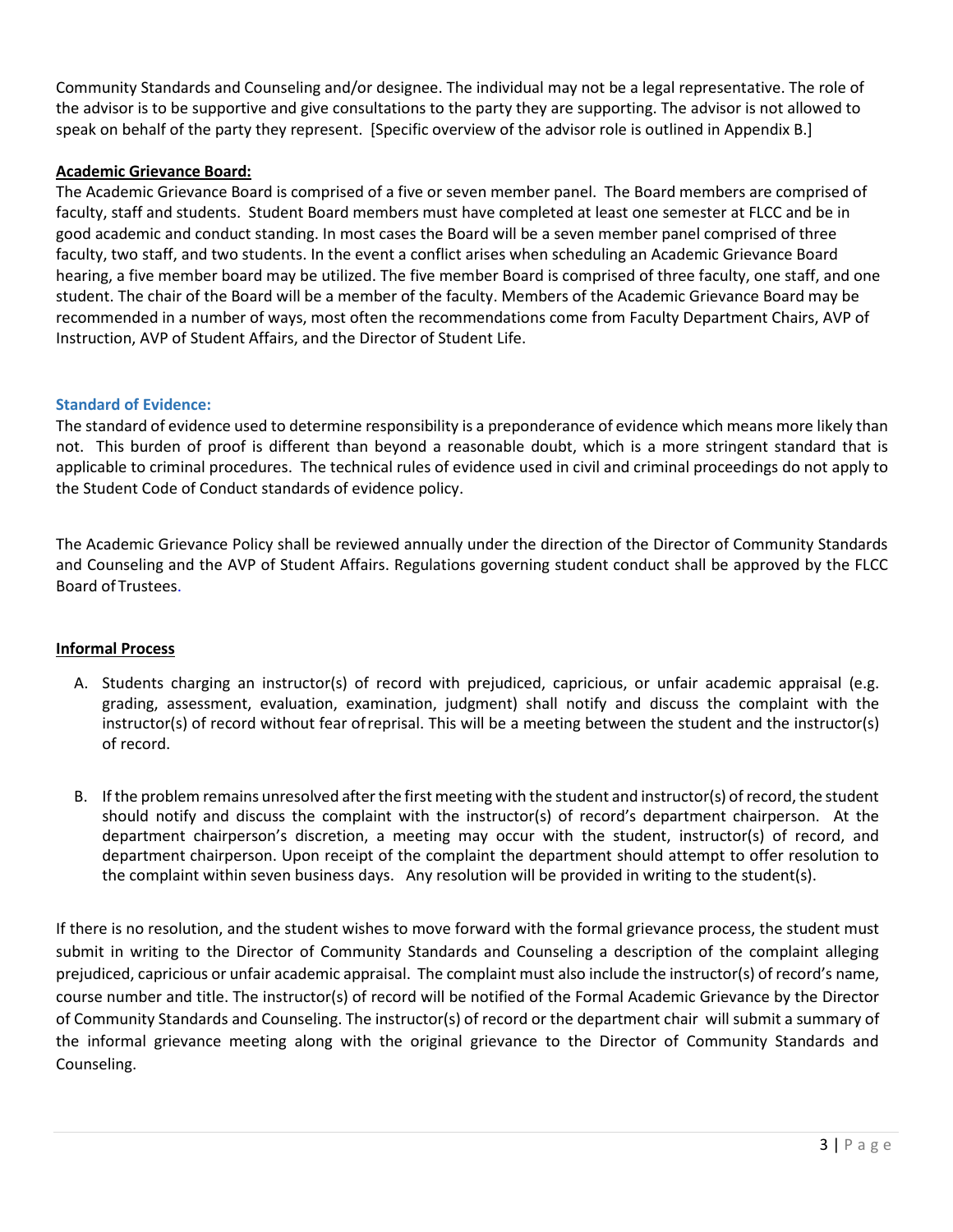Community Standards and Counseling and/or designee. The individual may not be a legal representative. The role of the advisor is to be supportive and give consultations to the party they are supporting. The advisor is not allowed to speak on behalf of the party they represent. [Specific overview of the advisor role is outlined in Appendix B.]

#### **Academic Grievance Board:**

The Academic Grievance Board is comprised of a five or seven member panel. The Board members are comprised of faculty, staff and students. Student Board members must have completed at least one semester at FLCC and be in good academic and conduct standing. In most cases the Board will be a seven member panel comprised of three faculty, two staff, and two students. In the event a conflict arises when scheduling an Academic Grievance Board hearing, a five member board may be utilized. The five member Board is comprised of three faculty, one staff, and one student. The chair of the Board will be a member of the faculty. Members of the Academic Grievance Board may be recommended in a number of ways, most often the recommendations come from Faculty Department Chairs, AVP of Instruction, AVP of Student Affairs, and the Director of Student Life.

#### **Standard of Evidence:**

The standard of evidence used to determine responsibility is a preponderance of evidence which means more likely than not. This burden of proof is different than beyond a reasonable doubt, which is a more stringent standard that is applicable to criminal procedures. The technical rules of evidence used in civil and criminal proceedings do not apply to the Student Code of Conduct standards of evidence policy.

The Academic Grievance Policy shall be reviewed annually under the direction of the Director of Community Standards and Counseling and the AVP of Student Affairs. Regulations governing student conduct shall be approved by the FLCC Board of Trustees.

#### **Informal Process**

- A. Students charging an instructor(s) of record with prejudiced, capricious, or unfair academic appraisal (e.g. grading, assessment, evaluation, examination, judgment) shall notify and discuss the complaint with the instructor(s) of record without fear ofreprisal. This will be a meeting between the student and the instructor(s) of record.
- B. If the problem remains unresolved after the first meeting with the student and instructor(s) of record, the student should notify and discuss the complaint with the instructor(s) of record's department chairperson. At the department chairperson's discretion, a meeting may occur with the student, instructor(s) of record, and department chairperson. Upon receipt of the complaint the department should attempt to offer resolution to the complaint within seven business days. Any resolution will be provided in writing to the student(s).

If there is no resolution, and the student wishes to move forward with the formal grievance process, the student must submit in writing to the Director of Community Standards and Counseling a description of the complaint alleging prejudiced, capricious or unfair academic appraisal. The complaint must also include the instructor(s) of record's name, course number and title. The instructor(s) of record will be notified of the Formal Academic Grievance by the Director of Community Standards and Counseling. The instructor(s) of record or the department chair will submit a summary of the informal grievance meeting along with the original grievance to the Director of Community Standards and Counseling.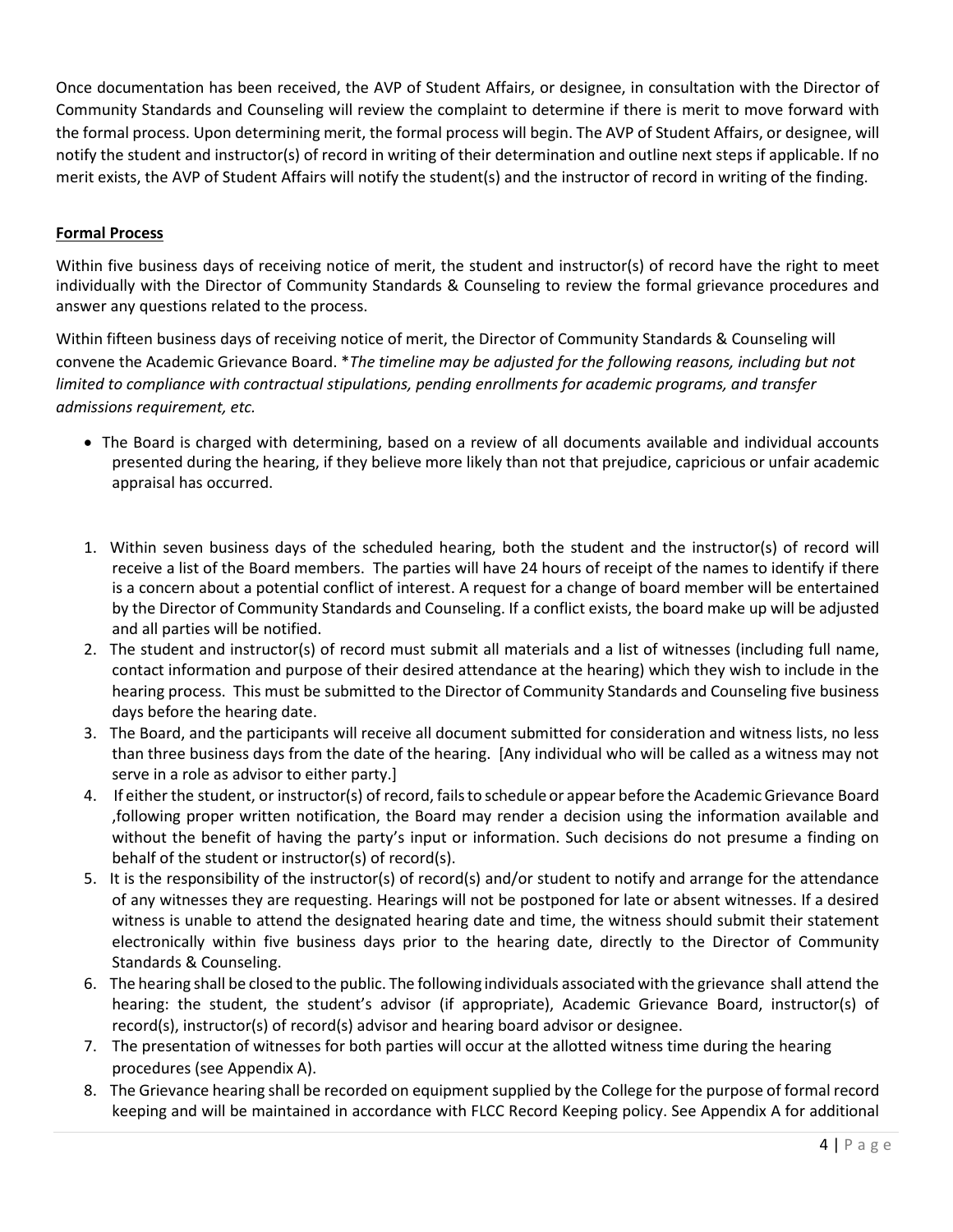Once documentation has been received, the AVP of Student Affairs, or designee, in consultation with the Director of Community Standards and Counseling will review the complaint to determine if there is merit to move forward with the formal process. Upon determining merit, the formal process will begin. The AVP of Student Affairs, or designee, will notify the student and instructor(s) of record in writing of their determination and outline next steps if applicable. If no merit exists, the AVP of Student Affairs will notify the student(s) and the instructor of record in writing of the finding.

#### **Formal Process**

Within five business days of receiving notice of merit, the student and instructor(s) of record have the right to meet individually with the Director of Community Standards & Counseling to review the formal grievance procedures and answer any questions related to the process.

Within fifteen business days of receiving notice of merit, the Director of Community Standards & Counseling will convene the Academic Grievance Board. \**The timeline may be adjusted for the following reasons, including but not limited to compliance with contractual stipulations, pending enrollments for academic programs, and transfer admissions requirement, etc.*

- The Board is charged with determining, based on a review of all documents available and individual accounts presented during the hearing, if they believe more likely than not that prejudice, capricious or unfair academic appraisal has occurred.
- 1. Within seven business days of the scheduled hearing, both the student and the instructor(s) of record will receive a list of the Board members. The parties will have 24 hours of receipt of the names to identify if there is a concern about a potential conflict of interest. A request for a change of board member will be entertained by the Director of Community Standards and Counseling. If a conflict exists, the board make up will be adjusted and all parties will be notified.
- 2. The student and instructor(s) of record must submit all materials and a list of witnesses (including full name, contact information and purpose of their desired attendance at the hearing) which they wish to include in the hearing process. This must be submitted to the Director of Community Standards and Counseling five business days before the hearing date.
- 3. The Board, and the participants will receive all document submitted for consideration and witness lists, no less than three business days from the date of the hearing. [Any individual who will be called as a witness may not serve in a role as advisor to either party.]
- 4. If either the student, or instructor(s) of record, failsto schedule or appear before the AcademicGrievance Board ,following proper written notification, the Board may render a decision using the information available and without the benefit of having the party's input or information. Such decisions do not presume a finding on behalf of the student or instructor(s) of record(s).
- 5. It is the responsibility of the instructor(s) of record(s) and/or student to notify and arrange for the attendance of any witnesses they are requesting. Hearings will not be postponed for late or absent witnesses. If a desired witness is unable to attend the designated hearing date and time, the witness should submit their statement electronically within five business days prior to the hearing date, directly to the Director of Community Standards & Counseling.
- 6. The hearing shall be closed to the public. The following individuals associated with the grievance shall attend the hearing: the student, the student's advisor (if appropriate), Academic Grievance Board, instructor(s) of record(s), instructor(s) of record(s) advisor and hearing board advisor or designee.
- 7. The presentation of witnesses for both parties will occur at the allotted witness time during the hearing procedures (see Appendix A).
- 8. The Grievance hearing shall be recorded on equipment supplied by the College for the purpose of formal record keeping and will be maintained in accordance with FLCC Record Keeping policy. See Appendix A for additional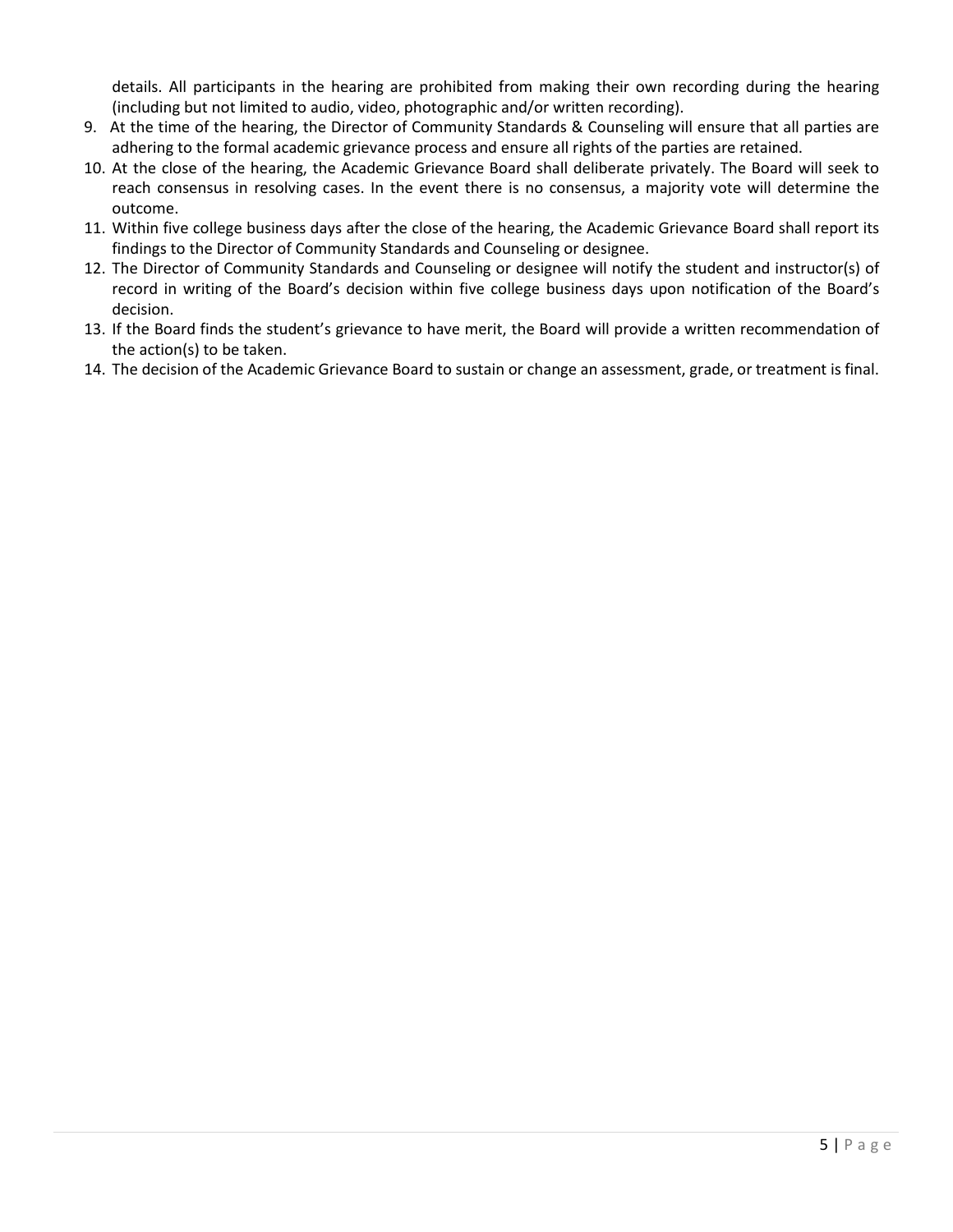details. All participants in the hearing are prohibited from making their own recording during the hearing (including but not limited to audio, video, photographic and/or written recording).

- 9. At the time of the hearing, the Director of Community Standards & Counseling will ensure that all parties are adhering to the formal academic grievance process and ensure all rights of the parties are retained.
- 10. At the close of the hearing, the Academic Grievance Board shall deliberate privately. The Board will seek to reach consensus in resolving cases. In the event there is no consensus, a majority vote will determine the outcome.
- 11. Within five college business days after the close of the hearing, the Academic Grievance Board shall report its findings to the Director of Community Standards and Counseling or designee.
- 12. The Director of Community Standards and Counseling or designee will notify the student and instructor(s) of record in writing of the Board's decision within five college business days upon notification of the Board's decision.
- 13. If the Board finds the student's grievance to have merit, the Board will provide a written recommendation of the action(s) to be taken.
- 14. The decision of the Academic Grievance Board to sustain or change an assessment, grade, or treatment is final.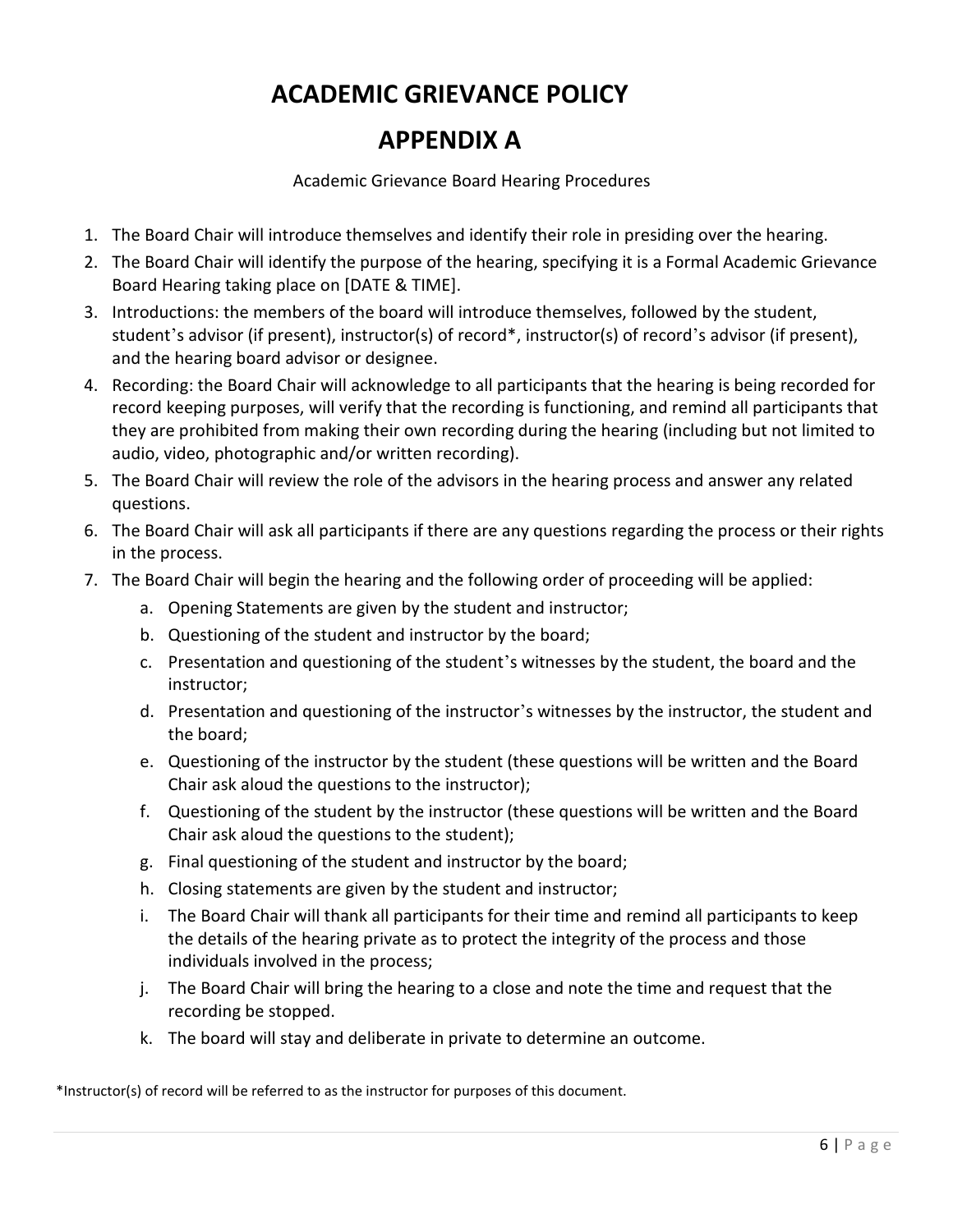## **ACADEMIC GRIEVANCE POLICY**

### **APPENDIX A**

Academic Grievance Board Hearing Procedures

- 1. The Board Chair will introduce themselves and identify their role in presiding over the hearing.
- 2. The Board Chair will identify the purpose of the hearing, specifying it is a Formal Academic Grievance Board Hearing taking place on [DATE & TIME].
- 3. Introductions: the members of the board will introduce themselves, followed by the student, student's advisor (if present), instructor(s) of record\*, instructor(s) of record's advisor (if present), and the hearing board advisor or designee.
- 4. Recording: the Board Chair will acknowledge to all participants that the hearing is being recorded for record keeping purposes, will verify that the recording is functioning, and remind all participants that they are prohibited from making their own recording during the hearing (including but not limited to audio, video, photographic and/or written recording).
- 5. The Board Chair will review the role of the advisors in the hearing process and answer any related questions.
- 6. The Board Chair will ask all participants if there are any questions regarding the process or their rights in the process.
- 7. The Board Chair will begin the hearing and the following order of proceeding will be applied:
	- a. Opening Statements are given by the student and instructor;
	- b. Questioning of the student and instructor by the board;
	- c. Presentation and questioning of the student's witnesses by the student, the board and the instructor;
	- d. Presentation and questioning of the instructor's witnesses by the instructor, the student and the board;
	- e. Questioning of the instructor by the student (these questions will be written and the Board Chair ask aloud the questions to the instructor);
	- f. Questioning of the student by the instructor (these questions will be written and the Board Chair ask aloud the questions to the student);
	- g. Final questioning of the student and instructor by the board;
	- h. Closing statements are given by the student and instructor;
	- i. The Board Chair will thank all participants for their time and remind all participants to keep the details of the hearing private as to protect the integrity of the process and those individuals involved in the process;
	- j. The Board Chair will bring the hearing to a close and note the time and request that the recording be stopped.
	- k. The board will stay and deliberate in private to determine an outcome.

\*Instructor(s) of record will be referred to as the instructor for purposes of this document.